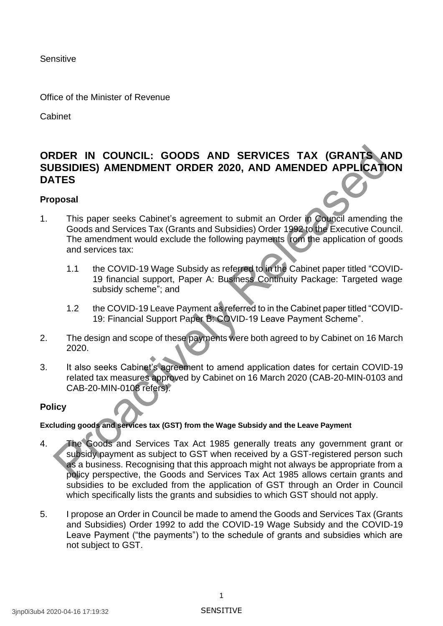**Sensitive** 

Office of the Minister of Revenue

Cabinet

# **ORDER IN COUNCIL: GOODS AND SERVICES TAX (GRANTS AND SUBSIDIES) AMENDMENT ORDER 2020, AND AMENDED APPLICATION DATES**

#### **Proposal**

- 1. This paper seeks Cabinet's agreement to submit an Order in Council amending the Goods and Services Tax (Grants and Subsidies) Order 1992 to the Executive Council. The amendment would exclude the following payments rom the application of goods and services tax:
	- 1.1 the COVID-19 Wage Subsidy as referred to in the Cabinet paper titled "COVID-19 financial support, Paper A: Business Continuity Package: Targeted wage subsidy scheme"; and
	- 1.2 the COVID-19 Leave Payment as referred to in the Cabinet paper titled "COVID-19: Financial Support Paper B: COVID-19 Leave Payment Scheme".
- 2. The design and scope of these payments were both agreed to by Cabinet on 16 March 2020.
- 3. It also seeks Cabinet's agreement to amend application dates for certain COVID-19 related tax measures approved by Cabinet on 16 March 2020 (CAB-20-MIN-0103 and CAB-20-MIN-0108 refers).

### **Policy**

#### **Excluding goods and services tax (GST) from the Wage Subsidy and the Leave Payment**

- 4. The Goods and Services Tax Act 1985 generally treats any government grant or subsidy payment as subject to GST when received by a GST-registered person such as a business. Recognising that this approach might not always be appropriate from a policy perspective, the Goods and Services Tax Act 1985 allows certain grants and subsidies to be excluded from the application of GST through an Order in Council which specifically lists the grants and subsidies to which GST should not apply. EXERCTIVE CONNOILL: GOODS AND SERVICES TAX (GRANTS AND SUBSIDIES) AMENDMENT ORDER 2020, AND AMENDED APPLICATING<br>TES<br>
This paper seeks Cabinet's agreement to submit an Order in Order and Subscribers and Subscribers and Subs
- 5. I propose an Order in Council be made to amend the Goods and Services Tax (Grants and Subsidies) Order 1992 to add the COVID-19 Wage Subsidy and the COVID-19 Leave Payment ("the payments") to the schedule of grants and subsidies which are not subject to GST.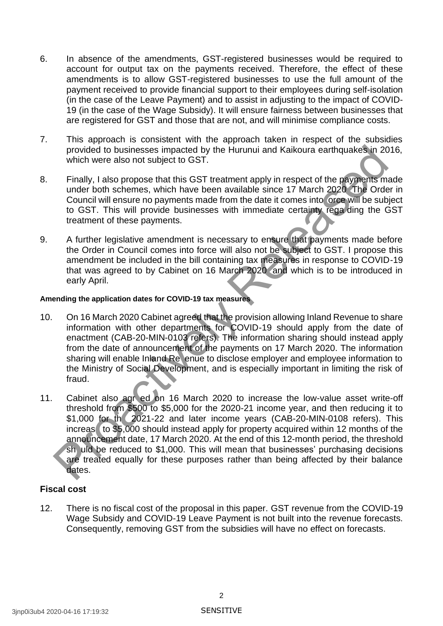- 6. In absence of the amendments, GST-registered businesses would be required to account for output tax on the payments received. Therefore, the effect of these amendments is to allow GST-registered businesses to use the full amount of the payment received to provide financial support to their employees during self-isolation (in the case of the Leave Payment) and to assist in adjusting to the impact of COVID-19 (in the case of the Wage Subsidy). It will ensure fairness between businesses that are registered for GST and those that are not, and will minimise compliance costs.
- 7. This approach is consistent with the approach taken in respect of the subsidies provided to businesses impacted by the Hurunui and Kaikoura earthquakes in 2016, which were also not subject to GST.
- 8. Finally, I also propose that this GST treatment apply in respect of the payments made under both schemes, which have been available since 17 March 2020 The Order in Council will ensure no payments made from the date it comes into orce will be subject to GST. This will provide businesses with immediate certainty rega ding the GST treatment of these payments.
- 9. A further legislative amendment is necessary to ensure that payments made before the Order in Council comes into force will also not be subject to GST. I propose this amendment be included in the bill containing tax measures in response to COVID-19 that was agreed to by Cabinet on 16 March 2020 and which is to be introduced in early April.

#### **Amending the application dates for COVID-19 tax measures**

- 10. On 16 March 2020 Cabinet agreed that the provision allowing Inland Revenue to share information with other departments for COVID-19 should apply from the date of enactment (CAB-20-MIN-0103 refers). The information sharing should instead apply from the date of announcement of the payments on 17 March 2020. The information sharing will enable Inland Re enue to disclose employer and employee information to the Ministry of Social Development, and is especially important in limiting the risk of fraud.
- 11. Cabinet also agr ed on 16 March 2020 to increase the low-value asset write-off threshold from \$500 to \$5,000 for the 2020-21 income year, and then reducing it to \$1,000 for th 2021-22 and later income years (CAB-20-MIN-0108 refers). This increas to \$5,000 should instead apply for property acquired within 12 months of the announcement date, 17 March 2020. At the end of this 12-month period, the threshold sh uld be reduced to \$1,000. This will mean that businesses' purchasing decisions are treated equally for these purposes rather than being affected by their balance dates. provided to businesses impacted by the Hurunui and Kaikoura earthquakes in 20<br>which were also not subject to GST.<br>Finally, I also propose that this GST treatment apply in respect of the payments moder both schemes, which h

#### **Fiscal cost**

12. There is no fiscal cost of the proposal in this paper. GST revenue from the COVID-19 Wage Subsidy and COVID-19 Leave Payment is not built into the revenue forecasts. Consequently, removing GST from the subsidies will have no effect on forecasts.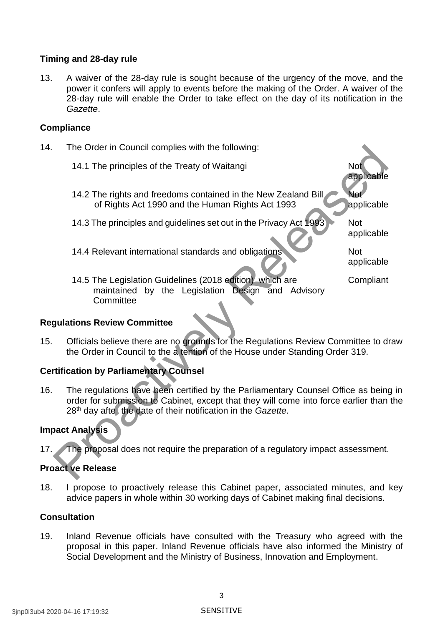#### **Timing and 28-day rule**

13. A waiver of the 28-day rule is sought because of the urgency of the move, and the power it confers will apply to events before the making of the Order. A waiver of the 28-day rule will enable the Order to take effect on the day of its notification in the *Gazette*.

#### **Compliance**

- 14. The Order in Council complies with the following:
	- 14.1 The principles of the Treaty of Waitangi
	- 14.2 The rights and freedoms contained in the New Zealand Bill of Rights Act 1990 and the Human Rights Act 1993 Not applicable
	- 14.3 The principles and guidelines set out in the Privacy Act 1993 Not
	- 14.4 Relevant international standards and obligations Not

applicable

applicable

applicable

14.5 The Legislation Guidelines (2018 edition) which are maintained by the Legislation Design and Advisory **Committee Compliant** 

#### **Regulations Review Committee**

15. Officials believe there are no grounds for the Regulations Review Committee to draw the Order in Council to the a tention of the House under Standing Order 319.

## **Certification by Parliamentary Counsel**

16. The regulations have been certified by the Parliamentary Counsel Office as being in order for submission to Cabinet, except that they will come into force earlier than the 28th day afte the date of their notification in the *Gazette*. The Order in Council complies with the following:<br>
14.1 The principles of the Treaty of Waitangi<br>
14.2 The rights and freedoms contained in the New Zealand Bill<br>
14.2 The rights Act 1990 and the Human Rights Act 1993<br>
14.3

### **Impact Analysis**

17. The proposal does not require the preparation of a regulatory impact assessment.

## **Proact ve Release**

18. I propose to proactively release this Cabinet paper, associated minutes, and key advice papers in whole within 30 working days of Cabinet making final decisions.

#### **Consultation**

19. Inland Revenue officials have consulted with the Treasury who agreed with the proposal in this paper. Inland Revenue officials have also informed the Ministry of Social Development and the Ministry of Business, Innovation and Employment.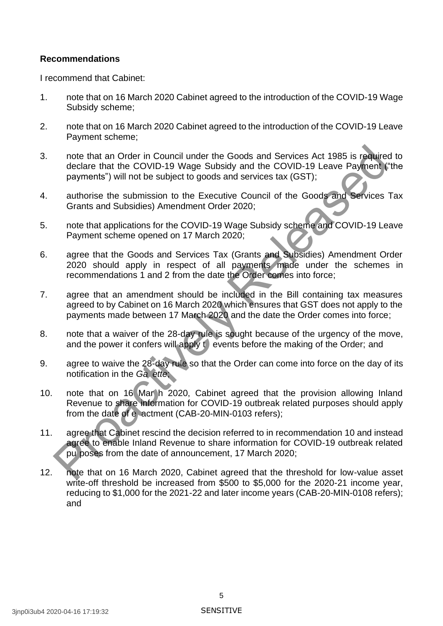#### **Recommendations**

I recommend that Cabinet:

- 1. note that on 16 March 2020 Cabinet agreed to the introduction of the COVID-19 Wage Subsidy scheme;
- 2. note that on 16 March 2020 Cabinet agreed to the introduction of the COVID-19 Leave Payment scheme;
- 3. note that an Order in Council under the Goods and Services Act 1985 is required to declare that the COVID-19 Wage Subsidy and the COVID-19 Leave Payment ("the payments") will not be subject to goods and services tax (GST);
- 4. authorise the submission to the Executive Council of the Goods and Services Tax Grants and Subsidies) Amendment Order 2020;
- 5. note that applications for the COVID-19 Wage Subsidy scheme and COVID-19 Leave Payment scheme opened on 17 March 2020;
- 6. agree that the Goods and Services Tax (Grants and Subsidies) Amendment Order 2020 should apply in respect of all payments made under the schemes in recommendations 1 and 2 from the date the Order comes into force;
- 7. agree that an amendment should be included in the Bill containing tax measures agreed to by Cabinet on 16 March 2020 which ensures that GST does not apply to the payments made between 17 March 2020 and the date the Order comes into force;
- 8. note that a waiver of the 28-day rule is sought because of the urgency of the move, and the power it confers will apply to events before the making of the Order; and
- 9. agree to waive the 28-day rule so that the Order can come into force on the day of its notification in the *Ga ette*;
- 10. note that on 16 Mar h 2020, Cabinet agreed that the provision allowing Inland Revenue to share information for COVID-19 outbreak related purposes should apply from the date of e actment (CAB-20-MIN-0103 refers); note that an Order in Council under the Goods and Services Act 1985 is reduited<br>elearle that the COVID-19 Wage Subsidy and the COVID-19 Leave Payments") will not be usinglet to goods and services tax (GST);<br>payments") will
- 11. agree that Cabinet rescind the decision referred to in recommendation 10 and instead agree to enable Inland Revenue to share information for COVID-19 outbreak related pu poses from the date of announcement, 17 March 2020;
- 12. note that on 16 March 2020, Cabinet agreed that the threshold for low-value asset write-off threshold be increased from \$500 to \$5,000 for the 2020-21 income year, reducing to \$1,000 for the 2021-22 and later income years (CAB-20-MIN-0108 refers); and